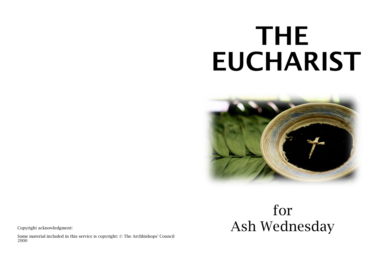# **THE EUCHARIST**



#### Copyright acknowledgment:

Some material included in this service is copyright: © The Archbishops' Council 2000

## for Ash Wednesday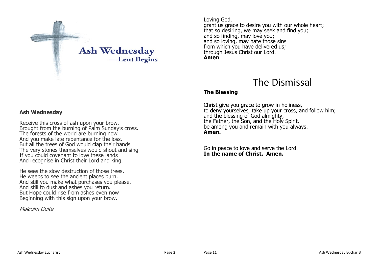

#### Loving God, grant us grace to desire you with our whole heart; that so desiring, we may seek and find you; and so finding, may love you; and so loving, may hate those sins from which you have delivered us: through Jesus Christ our Lord. **Amen**

### The Dismissal

#### **The Blessing**

Christ give you grace to grow in holiness, to deny yourselves, take up your cross, and follow him; and the blessing of God almighty, the Father, the Son, and the Holy Spirit, be among you and remain with you always. **Amen.**

Go in peace to love and serve the Lord. **In the name of Christ. Amen.**

#### **Ash Wednesday**

Receive this cross of ash upon your brow, Brought from the burning of Palm Sunday's cross. The forests of the world are burning now And you make late repentance for the loss. But all the trees of God would clap their hands The very stones themselves would shout and sing If you could covenant to love these lands And recognise in Christ their Lord and king.

He sees the slow destruction of those trees, He weeps to see the ancient places burn, And still you make what purchases you please, And still to dust and ashes you return. But Hope could rise from ashes even now Beginning with this sign upon your brow.

Malcolm Guite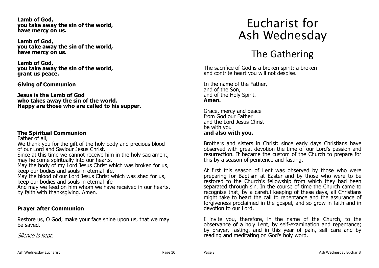**Lamb of God, you take away the sin of the world, have mercy on us.**

**Lamb of God, you take away the sin of the world, have mercy on us.**

**Lamb of God, you take away the sin of the world, grant us peace.**

**Giving of Communion**

**Jesus is the Lamb of God who takes away the sin of the world. Happy are those who are called to his supper.**

#### **The Spiritual Communion**

Father of all,

We thank you for the gift of the holy body and precious blood of our Lord and Saviour Jesus Christ.

Since at this time we cannot receive him in the holy sacrament, may he come spiritually into our hearts.

May the body of my Lord Jesus Christ which was broken for us, keep our bodies and souls in eternal life.

May the blood of our Lord Jesus Christ which was shed for us, keep our bodies and souls in eternal life

And may we feed on him whom we have received in our hearts, by faith with thanksgiving. Amen.

#### **Prayer after Communion**

Restore us, O God; make your face shine upon us, that we may be saved.

Silence is kept.

## Eucharist for Ash Wednesday

## The Gathering

The sacrifice of God is a broken spirit: a broken and contrite heart you will not despise.

In the name of the Father, and of the Son, and of the Holy Spirit. **Amen.**

Grace, mercy and peace from God our Father and the Lord Jesus Christ be with you **and also with you.**

Brothers and sisters in Christ: since early days Christians have observed with great devotion the time of our Lord's passion and resurrection. It became the custom of the Church to prepare for this by a season of penitence and fasting.

At first this season of Lent was observed by those who were preparing for Baptism at Easter and by those who were to be restored to the Church's fellowship from which they had been separated through sin. In the course of time the Church came to recognize that, by a careful keeping of these days, all Christians might take to heart the call to repentance and the assurance of forgiveness proclaimed in the gospel, and so grow in faith and in devotion to our Lord.

I invite you, therefore, in the name of the Church, to the observance of a holy Lent, by self-examination and repentance; by prayer, fasting, and in this year of pain, self care and by reading and meditating on God's holy word.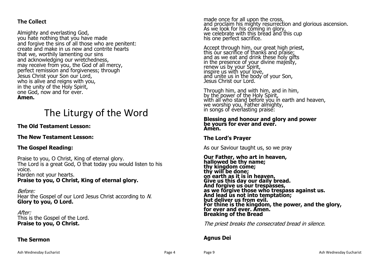#### **The Collect**

Almighty and everlasting God, you hate nothing that you have made and forgive the sins of all those who are penitent: create and make in us new and contrite hearts that we, worthily lamenting our sins and acknowledging our wretchedness, may receive from you, the God of all mercy, perfect remission and forgiveness; through Jesus Christ your Son our Lord, who is alive and reigns with you, in the unity of the Holy Spirit, one God, now and for ever. **Amen.**

## The Liturgy of the Word

#### **The Old Testament Lesson:**

#### **The New Testament Lesson:**

#### **The Gospel Reading:**

Praise to you, O Christ, King of eternal glory. The Lord is a great God, O that today you would listen to his voice. Harden not your hearts. **Praise to you, O Christ, King of eternal glory.**

Before: Hear the Gospel of our Lord Jesus Christ according to N. **Glory to you, O Lord.**

After: This is the Gospel of the Lord. **Praise to you, O Christ.**

#### **The Sermon**

made once for all upon the cross, and proclaim his mighty resurrection and glorious ascension. As we look for his coming in glory, we celebrate with this bread and this cup his one perfect sacrifice.

Accept through him, our great high priest, this our sacrifice of thanks and praise; and as we eat and drink these holy gifts in the presence of your divine majesty, renew us by your Spirit, inspire us with your love, and unite us in the body of your Son, Jesus Christ our Lord.

Through him, and with him, and in him, by the power of the Holy Spirit, with all who stand before you in earth and heaven, we worship you, Father almighty, in songs of everlasting praise:

#### **Blessing and honour and glory and power be yours for ever and ever. Amen.**

#### **The Lord's Prayer**

As our Saviour taught us, so we pray

**Our Father, who art in heaven, hallowed be thy name; thy kingdom come; thy will be done; on earth as it is in heaven. Give us this day our daily bread. And forgive us our trespasses, as we forgive those who trespass against us. And lead us not into temptation; but deliver us from evil. For thine is the kingdom, the power, and the glory, for ever and ever. Amen. Breaking of the Bread**

The priest breaks the consecrated bread in silence.

#### **Agnus Dei**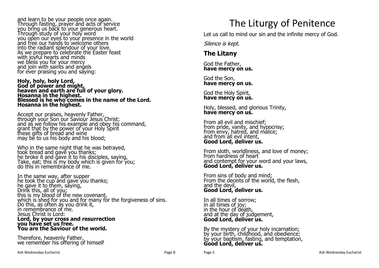and learn to be your people once again. Through fasting, prayer and acts of service you bring us back to your generous heart. Through study of your holy word you open our eyes to your presence in the world and free our hands to welcome others into the radiant splendour of your love. As we prepare to celebrate the Easter feast with joyful hearts and minds we bless you for your mercy and join with saints and angels for ever praising you and saying:

**Holy, holy, holy Lord, God of power and might, heaven and earth are full of your glory. Hosanna in the highest. Blessed is he who comes in the name of the Lord. Hosanna in the highest.**

Accept our praises, heavenly Father, through your Son our Saviour Jesus Christ; and as we follow his example and obey his command, grant that by the power of your Holy Spirit these gifts of bread and wine may be to us his body and his blood;

Who in the same night that he was betrayed, took bread and gave you thanks; he broke it and gave it to his disciples, saying, Take, eat; this is my body which is given for you; do this in remembrance of me.

In the same way, after supper he took the cup and gave you thanks; he gave it to them, saying, Drink this, all of you; this is my blood of the new covenant, which is shed for you and for many for the forgiveness of sins. Do this, as often as you drink it, in remembrance of me. Jesus Christ is Lord: **Lord, by your cross and resurrection you have set us free. You are the Saviour of the world.**

Therefore, heavenly Father, we remember his offering of himself

## The Liturgy of Penitence

Let us call to mind our sin and the infinite mercy of God.

Silence is kept.

#### **The Litany**

God the Father, **have mercy on us.**

God the Son, **have mercy on us.**

God the Holy Spirit, **have mercy on us.**

Holy, blessed, and glorious Trinity, **have mercy on us.**

From all evil and mischief; from pride, vanity, and hypocrisy; from envy, hatred, and malice; and from all evil intent. **Good Lord, deliver us.**

From sloth, worldliness, and love of money; from hardness of heart and contempt for your word and your laws, **Good Lord, deliver us.**

From sins of body and mind; From the deceits of the world, the flesh, and the devil, **Good Lord, deliver us.**

In all times of sorrow; in all times of joy; in the hour of death, and at the day of judgement, **Good Lord, deliver us.**

By the mystery of your holy incarnation; by your birth, childhood, and obedience; by your baptism, fasting, and temptation, **Good Lord, deliver us.**